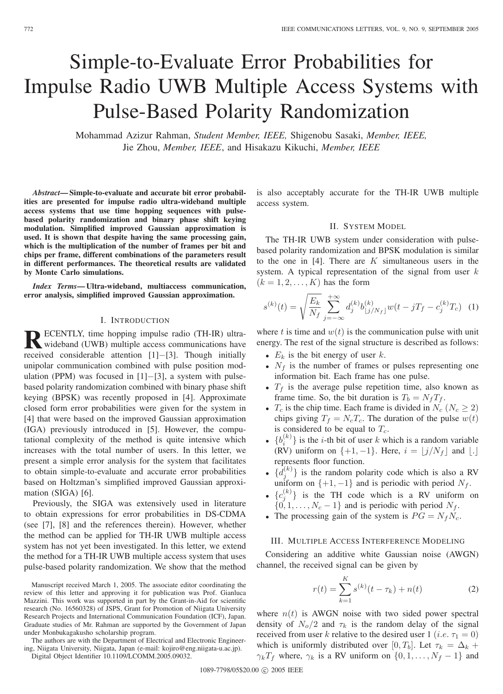# Simple-to-Evaluate Error Probabilities for Impulse Radio UWB Multiple Access Systems with Pulse-Based Polarity Randomization

Mohammad Azizur Rahman, *Student Member, IEEE,* Shigenobu Sasaki, *Member, IEEE,* Jie Zhou, *Member, IEEE*, and Hisakazu Kikuchi, *Member, IEEE*

*Abstract***— Simple-to-evaluate and accurate bit error probabilities are presented for impulse radio ultra-wideband multiple access systems that use time hopping sequences with pulsebased polarity randomization and binary phase shift keying modulation. Simplified improved Gaussian approximation is used. It is shown that despite having the same processing gain, which is the multiplication of the number of frames per bit and chips per frame, different combinations of the parameters result in different performances. The theoretical results are validated by Monte Carlo simulations.**

*Index Terms***— Ultra-wideband, multiaccess communication, error analysis, simplified improved Gaussian approximation.**

### I. INTRODUCTION

**RECENTLY, time hopping impulse radio (TH-IR) ultra-**<br>wideband (UWB) multiple access communications have received considerable attention [1]−[3]. Though initially unipolar communication combined with pulse position modulation (PPM) was focused in [1]−[3], a system with pulsebased polarity randomization combined with binary phase shift keying (BPSK) was recently proposed in [4]. Approximate closed form error probabilities were given for the system in [4] that were based on the improved Gaussian approximation (IGA) previously introduced in [5]. However, the computational complexity of the method is quite intensive which increases with the total number of users. In this letter, we present a simple error analysis for the system that facilitates to obtain simple-to-evaluate and accurate error probabilities based on Holtzman's simplified improved Gaussian approximation (SIGA) [6].

Previously, the SIGA was extensively used in literature to obtain expressions for error probabilities in DS-CDMA (see [7], [8] and the references therein). However, whether the method can be applied for TH-IR UWB multiple access system has not yet been investigated. In this letter, we extend the method for a TH-IR UWB multiple access system that uses pulse-based polarity randomization. We show that the method

The authors are with the Department of Electrical and Electronic Engineering, Niigata University, Niigata, Japan (e-mail: kojiro@eng.niigata-u.ac.jp).

Digital Object Identifier 10.1109/LCOMM.2005.09032.

is also acceptably accurate for the TH-IR UWB multiple access system.

# II. SYSTEM MODEL

The TH-IR UWB system under consideration with pulsebased polarity randomization and BPSK modulation is similar to the one in  $[4]$ . There are K simultaneous users in the system. A typical representation of the signal from user  $k$  $(k = 1, 2, \ldots, K)$  has the form

$$
s^{(k)}(t) = \sqrt{\frac{E_k}{N_f}} \sum_{j=-\infty}^{+\infty} d_j^{(k)} b_{\lfloor j/N_f \rfloor}^{(k)} w(t - jT_f - c_j^{(k)} T_c)
$$
 (1)

where t is time and  $w(t)$  is the communication pulse with unit energy. The rest of the signal structure is described as follows:

- $E_k$  is the bit energy of user  $k$ .
- $N_f$  is the number of frames or pulses representing one information bit. Each frame has one pulse.
- $T_f$  is the average pulse repetition time, also known as frame time. So, the bit duration is  $T_b = N_f T_f$ .
- $T_c$  is the chip time. Each frame is divided in  $N_c$  ( $N_c \ge 2$ ) chips giving  $T_f = N_cT_c$ . The duration of the pulse  $w(t)$ is considered to be equal to  $T_c$ .
- $\{b_i^{(k)}\}$  is the *i*-th bit of user *k* which is a random variable  $\overline{(RV)}$  uniform on  $\{+1, -1\}$ . Here,  $i = \lfloor j/N_f \rfloor$  and  $\lfloor . \rfloor$ represents floor function.
- $\{d_j^{(k)}\}$  is the random polarity code which is also a RV uniform on  $\{+1, -1\}$  and is periodic with period  $N_f$ .
- ${c_j^{(k)}}$  is the TH code which is a RV uniform on  $\{0, 1, \ldots, N_c - 1\}$  and is periodic with period  $N_f$ .
- The processing gain of the system is  $PG = N_f N_c$ .

## III. MULTIPLE ACCESS INTERFERENCE MODELING

Considering an additive white Gaussian noise (AWGN) channel, the received signal can be given by

$$
r(t) = \sum_{k=1}^{K} s^{(k)}(t - \tau_k) + n(t)
$$
 (2)

where  $n(t)$  is AWGN noise with two sided power spectral density of  $N_o/2$  and  $\tau_k$  is the random delay of the signal received from user k relative to the desired user 1 (*i.e.*  $\tau_1 = 0$ ) which is uniformly distributed over [0, T<sub>b</sub>]. Let  $\tau_k = \Delta_k +$  $\gamma_k T_f$  where,  $\gamma_k$  is a RV uniform on  $\{0, 1, \ldots, N_f - 1\}$  and

Manuscript received March 1, 2005. The associate editor coordinating the review of this letter and approving it for publication was Prof. Gianluca Mazzini. This work was supported in part by the Grant-in-Aid for scientific research (No. 16560328) of JSPS, Grant for Promotion of Niigata University Research Projects and International Communication Foundation (ICF), Japan. Graduate studies of Mr. Rahman are supported by the Government of Japan under Monbukagakusho scholarship program.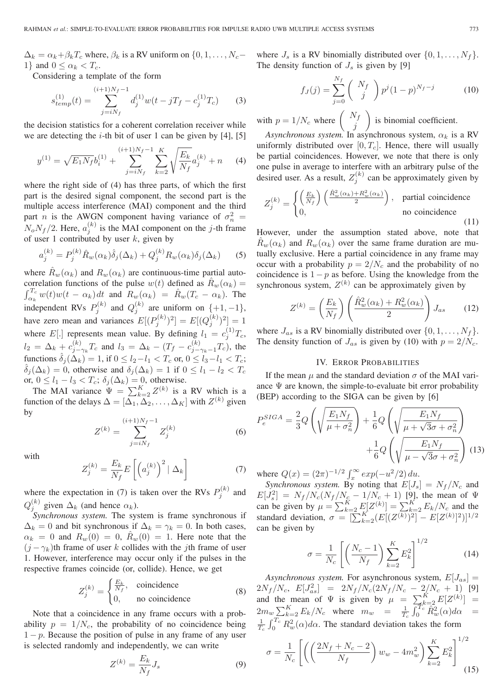$\Delta_k = \alpha_k + \beta_k T_c$  where,  $\beta_k$  is a RV uniform on  $\{0, 1, \ldots, N_c - \}$ 1} and  $0 \leq \alpha_k < T_c$ .

Considering a template of the form

$$
s_{temp}^{(1)}(t) = \sum_{j=iN_f}^{(i+1)N_f - 1} d_j^{(1)} w(t - jT_f - c_j^{(1)}T_c)
$$
 (3)

the decision statistics for a coherent correlation receiver while we are detecting the  $i$ -th bit of user 1 can be given by [4], [5]

$$
y^{(1)} = \sqrt{E_1 N_f} b_i^{(1)} + \sum_{j=iN_f}^{(i+1)N_f - 1} \sum_{k=2}^{K} \sqrt{\frac{E_k}{N_f}} a_j^{(k)} + n \tag{4}
$$

where the right side of (4) has three parts, of which the first part is the desired signal component, the second part is the multiple access interference (MAI) component and the third part *n* is the AWGN component having variance of  $\sigma_n^2$  =  $N_o N_f/2$ . Here,  $a_j^{(k)}$  is the MAI component on the j-th frame of user 1 contributed by user  $k$ , given by

$$
a_j^{(k)} = P_j^{(k)} \hat{R}_w(\alpha_k) \hat{\delta}_j(\Delta_k) + Q_j^{(k)} R_w(\alpha_k) \delta_j(\Delta_k) \tag{5}
$$

where  $\hat{R}_w(\alpha_k)$  and  $R_w(\alpha_k)$  are continuous-time partial autocorrelation functions of the pulse  $w(t)$  defined as  $\hat{R}_w(\alpha_k) =$  $\int_{\alpha_k}^{T_c} w(t)w(t-\alpha_k) dt$  and  $R_w(\alpha_k) = \hat{R}_w(T_c-\alpha_k)$ . The independent RVs  $P_j^{(k)}$  and  $Q_j^{(k)}$  are uniform on  $\{+1, -1\}$ , have zero mean and variances  $E[(P_j^{(k)})^2] = E[(Q_j^{(k)})^2] = 1$ where E[.] represents mean value. By defining  $l_1 = c_j^{(1)}T_c$ ,  $l_2 = \Delta_k + c_{j-\gamma_k}^{(k)} T_c$  and  $l_3 = \Delta_k - (T_f - c_{j-\gamma_k-1}^{(k)} T_c)$ , the functions  $\hat{\delta}_j(\Delta_k) = 1$ , if  $0 \le l_2 - l_1 < T_c$  or,  $0 \le l_3 - l_1 < T_c$ ;  $\hat{\delta}_i(\Delta_k) = 0$ , otherwise and  $\delta_i(\Delta_k) = 1$  if  $0 \le l_1 - l_2 < T_c$ or,  $0 \le l_1 - l_3 < T_c$ ;  $\delta_j(\Delta_k) = 0$ , otherwise.

The MAI variance  $\Psi = \sum_{k=2}^{K} Z^{(k)}$  is a RV which is a function of the delays  $\Delta = [\Delta_1, \Delta_2, \ldots, \Delta_K]$  with  $Z^{(k)}$  given by

$$
Z^{(k)} = \sum_{j=iN_f}^{(i+1)N_f - 1} Z_j^{(k)}
$$
(6)

with

$$
Z_j^{(k)} = \frac{E_k}{N_f} E\left[ \left( a_j^{(k)} \right)^2 | \Delta_k \right] \tag{7}
$$

where the expectation in (7) is taken over the RVs  $P_j^{(k)}$  and  $Q_j^{(k)}$  given  $\Delta_k$  (and hence  $\alpha_k$ ).

*Synchronous system.* The system is frame synchronous if  $\Delta_k = 0$  and bit synchronous if  $\Delta_k = \gamma_k = 0$ . In both cases,  $\alpha_k = 0$  and  $R_w(0) = 0$ ,  $R_w(0) = 1$ . Here note that the  $(j - \gamma_k)$ th frame of user k collides with the jth frame of user 1. However, interference may occur only if the pulses in the respective frames coincide (or, collide). Hence, we get

$$
Z_j^{(k)} = \begin{cases} \frac{E_k}{N_f}, & \text{coincidence} \\ 0, & \text{no coincidence} \end{cases}
$$
 (8)

Note that a coincidence in any frame occurs with a probability  $p = 1/N_c$ , the probability of no coincidence being  $1 - p$ . Because the position of pulse in any frame of any user is selected randomly and independently, we can write

$$
Z^{(k)} = \frac{E_k}{N_f} J_s \tag{9}
$$

where  $J_s$  is a RV binomially distributed over  $\{0, 1, \ldots, N_f\}$ . The density function of  $J_s$  is given by [9]

$$
f_J(j) = \sum_{j=0}^{N_f} \binom{N_f}{j} p^j (1-p)^{N_f - j} \tag{10}
$$

with  $p = 1/N_c$  where  $\begin{pmatrix} N_f \\ j \end{pmatrix}$ ) is binomial coefficient.

*Asynchronous system.* In asynchronous system,  $\alpha_k$  is a RV uniformly distributed over  $[0, T_c]$ . Hence, there will usually be partial coincidences. However, we note that there is only one pulse in average to interfere with an arbitrary pulse of the desired user. As a result,  $Z_j^{(k)}$  can be approximately given by

$$
Z_j^{(k)} = \begin{cases} \left(\frac{E_k}{N_f}\right) \left(\frac{\hat{R}_w^2(\alpha_k) + R_w^2(\alpha_k)}{2}\right), & \text{partial coincidence} \\ 0, & \text{no coincidence} \end{cases}
$$
 (11)

However, under the assumption stated above, note that  $R_w(\alpha_k)$  and  $R_w(\alpha_k)$  over the same frame duration are mutually exclusive. Here a partial coincidence in any frame may occur with a probability  $p = 2/N_c$  and the probability of no coincidence is  $1 - p$  as before. Using the knowledge from the synchronous system,  $Z^{(k)}$  can be approximately given by

$$
Z^{(k)} = \left(\frac{E_k}{N_f}\right) \left(\frac{\hat{R}_w^2(\alpha_k) + R_w^2(\alpha_k)}{2}\right) J_{as} \qquad (12)
$$

where  $J_{as}$  is a RV binomially distributed over  $\{0, 1, \ldots, N_f\}$ . The density function of  $J_{as}$  is given by (10) with  $p = 2/N_c$ .

# IV. ERROR PROBABILITIES

If the mean  $\mu$  and the standard deviation  $\sigma$  of the MAI variance  $\Psi$  are known, the simple-to-evaluate bit error probability (BEP) according to the SIGA can be given by [6]

$$
P_e^{SIGA} = \frac{2}{3} Q \left( \sqrt{\frac{E_1 N_f}{\mu + \sigma_n^2}} \right) + \frac{1}{6} Q \left( \sqrt{\frac{E_1 N_f}{\mu + \sqrt{3}\sigma + \sigma_n^2}} \right) + \frac{1}{6} Q \left( \sqrt{\frac{E_1 N_f}{\mu - \sqrt{3}\sigma + \sigma_n^2}} \right) (13)
$$

where  $Q(x) = (2\pi)^{-1/2} \int_x^{\infty} exp(-u^2/2) du$ .

*Synchronous system.* By noting that  $E[J_s] = N_f/N_c$  and  $E[J_s^2] = N_f/N_c(N_f/N_c - 1/N_c + 1)$  [9], the mean of  $\Psi$ can be given by  $\mu = \sum_{k=2}^{K} E[Z^{(k)}] = \sum_{k=2}^{K} E_k / N_c$  and the standard deviation,  $\sigma = [\sum_{k=2}^{K} (E[(Z^{(k)})^2] - E[Z^{(k)}]^2)]^{1/2}$ can be given by

$$
\sigma = \frac{1}{N_c} \left[ \left( \frac{N_c - 1}{N_f} \right) \sum_{k=2}^{K} E_k^2 \right]^{1/2} \tag{14}
$$

*Asynchronous system.* For asynchronous system,  $E[J_{as}] =$  $2N_f/N_c$ ,  $E[J_{as}^2] = 2N_f/N_c(2N_f/N_c - 2/N_c + 1)$  [9] and the mean of  $\Psi$  is given by  $\mu = \sum_{k=2}^{K} E[Z^{(k)}] =$  $2m_w \sum_{k=2}^{K} E_k/N_c$  where  $m_w = \frac{1}{T_c} \int_0^{T_c} \hat{R}_w^2(\alpha) d\alpha =$  $\frac{1}{T_c} \int_0^{T_c} R_w^2(\alpha) d\alpha$ . The standard deviation takes the form

$$
\sigma = \frac{1}{N_c} \left[ \left( \left( \frac{2N_f + N_c - 2}{N_f} \right) w_w - 4m_w^2 \right) \sum_{k=2}^K E_k^2 \right]^{1/2} \tag{15}
$$